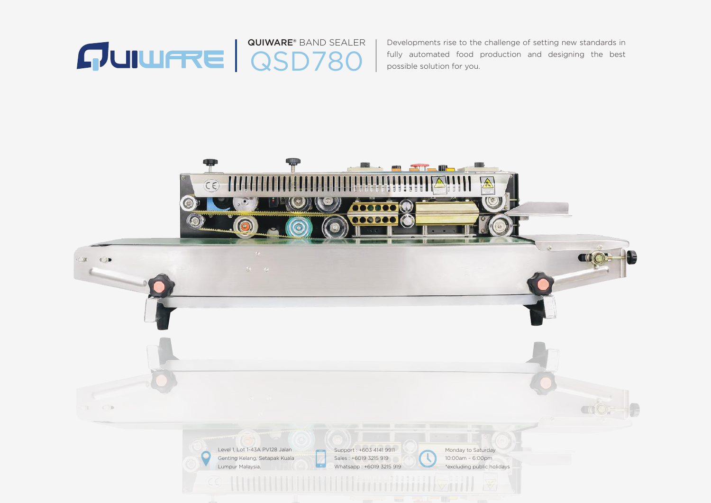

Developments rise to the challenge of setting new standards in fully automated food production and designing the best possible solution for you.